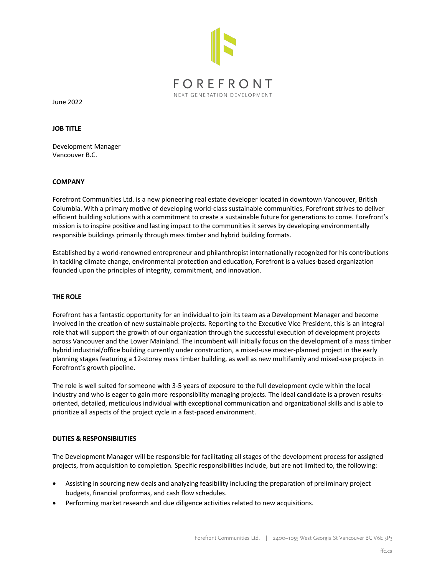

June 2022

### **JOB TITLE**

Development Manager Vancouver B.C.

### **COMPANY**

Forefront Communities Ltd. is a new pioneering real estate developer located in downtown Vancouver, British Columbia. With a primary motive of developing world-class sustainable communities, Forefront strives to deliver efficient building solutions with a commitment to create a sustainable future for generations to come. Forefront's mission is to inspire positive and lasting impact to the communities it serves by developing environmentally responsible buildings primarily through mass timber and hybrid building formats.

Established by a world-renowned entrepreneur and philanthropist internationally recognized for his contributions in tackling climate change, environmental protection and education, Forefront is a values-based organization founded upon the principles of integrity, commitment, and innovation.

# **THE ROLE**

Forefront has a fantastic opportunity for an individual to join its team as a Development Manager and become involved in the creation of new sustainable projects. Reporting to the Executive Vice President, this is an integral role that will support the growth of our organization through the successful execution of development projects across Vancouver and the Lower Mainland. The incumbent will initially focus on the development of a mass timber hybrid industrial/office building currently under construction, a mixed-use master-planned project in the early planning stages featuring a 12-storey mass timber building, as well as new multifamily and mixed-use projects in Forefront's growth pipeline.

The role is well suited for someone with 3-5 years of exposure to the full development cycle within the local industry and who is eager to gain more responsibility managing projects. The ideal candidate is a proven resultsoriented, detailed, meticulous individual with exceptional communication and organizational skills and is able to prioritize all aspects of the project cycle in a fast-paced environment.

### **DUTIES & RESPONSIBILITIES**

The Development Manager will be responsible for facilitating all stages of the development process for assigned projects, from acquisition to completion. Specific responsibilities include, but are not limited to, the following:

- Assisting in sourcing new deals and analyzing feasibility including the preparation of preliminary project budgets, financial proformas, and cash flow schedules.
- Performing market research and due diligence activities related to new acquisitions.